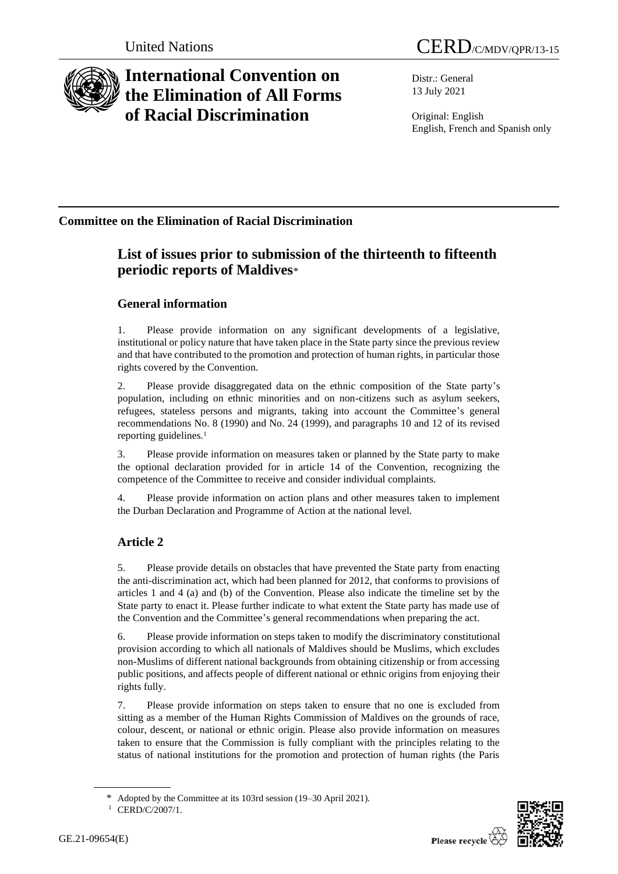

# **International Convention on the Elimination of All Forms of Racial Discrimination**

Distr.: General 13 July 2021

Original: English English, French and Spanish only

### **Committee on the Elimination of Racial Discrimination**

## **List of issues prior to submission of the thirteenth to fifteenth periodic reports of Maldives**\*

### **General information**

1. Please provide information on any significant developments of a legislative, institutional or policy nature that have taken place in the State party since the previous review and that have contributed to the promotion and protection of human rights, in particular those rights covered by the Convention.

2. Please provide disaggregated data on the ethnic composition of the State party's population, including on ethnic minorities and on non-citizens such as asylum seekers, refugees, stateless persons and migrants, taking into account the Committee's general recommendations No. 8 (1990) and No. 24 (1999), and paragraphs 10 and 12 of its revised reporting guidelines.<sup>1</sup>

3. Please provide information on measures taken or planned by the State party to make the optional declaration provided for in article 14 of the Convention, recognizing the competence of the Committee to receive and consider individual complaints.

4. Please provide information on action plans and other measures taken to implement the Durban Declaration and Programme of Action at the national level.

### **Article 2**

5. Please provide details on obstacles that have prevented the State party from enacting the anti-discrimination act, which had been planned for 2012, that conforms to provisions of articles 1 and 4 (a) and (b) of the Convention. Please also indicate the timeline set by the State party to enact it. Please further indicate to what extent the State party has made use of the Convention and the Committee's general recommendations when preparing the act.

6. Please provide information on steps taken to modify the discriminatory constitutional provision according to which all nationals of Maldives should be Muslims, which excludes non-Muslims of different national backgrounds from obtaining citizenship or from accessing public positions, and affects people of different national or ethnic origins from enjoying their rights fully.

7. Please provide information on steps taken to ensure that no one is excluded from sitting as a member of the Human Rights Commission of Maldives on the grounds of race, colour, descent, or national or ethnic origin. Please also provide information on measures taken to ensure that the Commission is fully compliant with the principles relating to the status of national institutions for the promotion and protection of human rights (the Paris



Adopted by the Committee at its 103rd session (19–30 April 2021).

<sup>&</sup>lt;sup>1</sup> CERD/C/2007/1.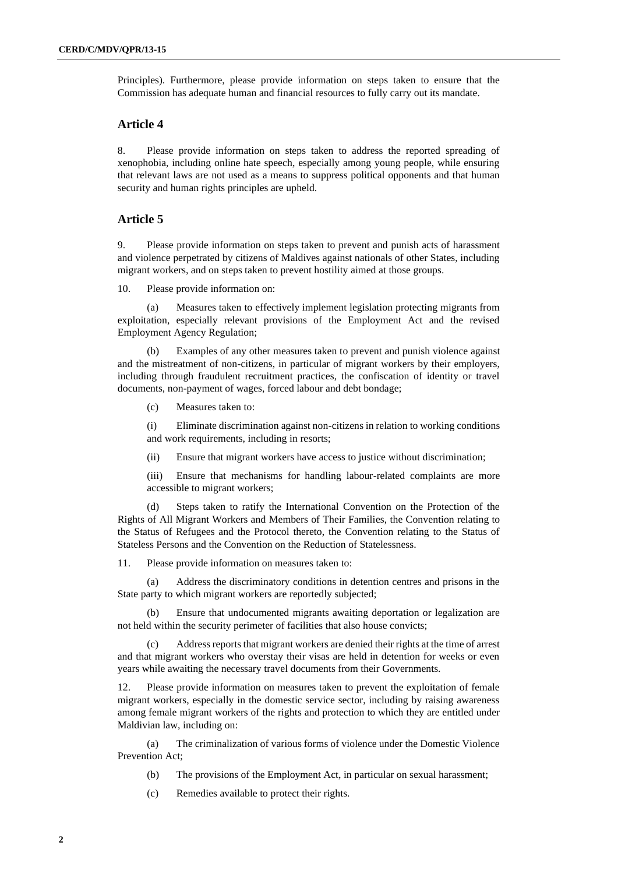Principles). Furthermore, please provide information on steps taken to ensure that the Commission has adequate human and financial resources to fully carry out its mandate.

#### **Article 4**

8. Please provide information on steps taken to address the reported spreading of xenophobia, including online hate speech, especially among young people, while ensuring that relevant laws are not used as a means to suppress political opponents and that human security and human rights principles are upheld.

#### **Article 5**

9. Please provide information on steps taken to prevent and punish acts of harassment and violence perpetrated by citizens of Maldives against nationals of other States, including migrant workers, and on steps taken to prevent hostility aimed at those groups.

10. Please provide information on:

(a) Measures taken to effectively implement legislation protecting migrants from exploitation, especially relevant provisions of the Employment Act and the revised Employment Agency Regulation;

(b) Examples of any other measures taken to prevent and punish violence against and the mistreatment of non-citizens, in particular of migrant workers by their employers, including through fraudulent recruitment practices, the confiscation of identity or travel documents, non-payment of wages, forced labour and debt bondage;

(c) Measures taken to:

(i) Eliminate discrimination against non-citizens in relation to working conditions and work requirements, including in resorts;

(ii) Ensure that migrant workers have access to justice without discrimination;

(iii) Ensure that mechanisms for handling labour-related complaints are more accessible to migrant workers;

(d) Steps taken to ratify the International Convention on the Protection of the Rights of All Migrant Workers and Members of Their Families, the Convention relating to the Status of Refugees and the Protocol thereto, the Convention relating to the Status of Stateless Persons and the Convention on the Reduction of Statelessness.

11. Please provide information on measures taken to:

(a) Address the discriminatory conditions in detention centres and prisons in the State party to which migrant workers are reportedly subjected;

(b) Ensure that undocumented migrants awaiting deportation or legalization are not held within the security perimeter of facilities that also house convicts;

Address reports that migrant workers are denied their rights at the time of arrest and that migrant workers who overstay their visas are held in detention for weeks or even years while awaiting the necessary travel documents from their Governments.

Please provide information on measures taken to prevent the exploitation of female migrant workers, especially in the domestic service sector, including by raising awareness among female migrant workers of the rights and protection to which they are entitled under Maldivian law, including on:

(a) The criminalization of various forms of violence under the Domestic Violence Prevention Act;

(b) The provisions of the Employment Act, in particular on sexual harassment;

(c) Remedies available to protect their rights.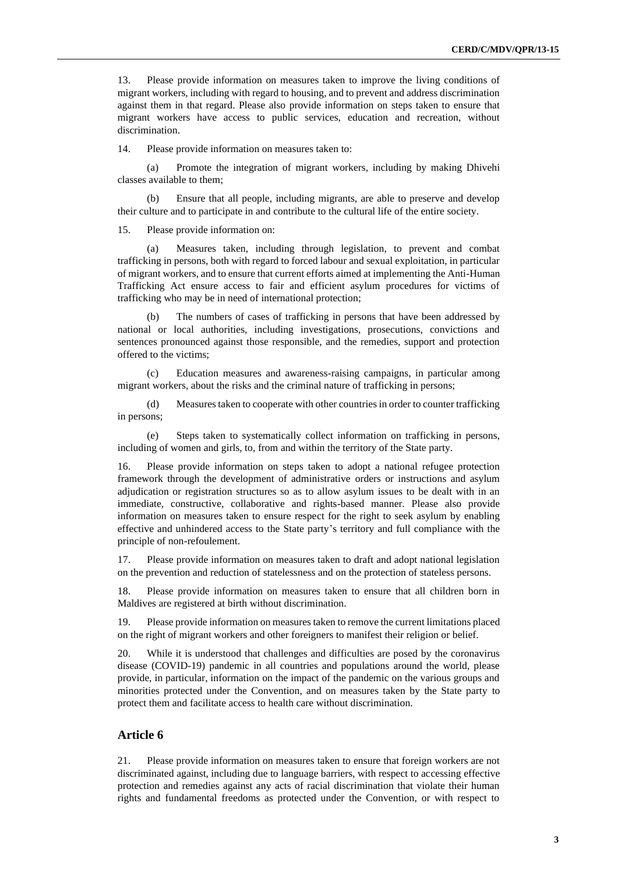13. Please provide information on measures taken to improve the living conditions of migrant workers, including with regard to housing, and to prevent and address discrimination against them in that regard. Please also provide information on steps taken to ensure that migrant workers have access to public services, education and recreation, without discrimination.

14. Please provide information on measures taken to:

(a) Promote the integration of migrant workers, including by making Dhivehi classes available to them;

(b) Ensure that all people, including migrants, are able to preserve and develop their culture and to participate in and contribute to the cultural life of the entire society.

15. Please provide information on:

(a) Measures taken, including through legislation, to prevent and combat trafficking in persons, both with regard to forced labour and sexual exploitation, in particular of migrant workers, and to ensure that current efforts aimed at implementing the Anti-Human Trafficking Act ensure access to fair and efficient asylum procedures for victims of trafficking who may be in need of international protection;

The numbers of cases of trafficking in persons that have been addressed by national or local authorities, including investigations, prosecutions, convictions and sentences pronounced against those responsible, and the remedies, support and protection offered to the victims;

(c) Education measures and awareness-raising campaigns, in particular among migrant workers, about the risks and the criminal nature of trafficking in persons;

(d) Measures taken to cooperate with other countries in order to counter trafficking in persons;

(e) Steps taken to systematically collect information on trafficking in persons, including of women and girls, to, from and within the territory of the State party.

16. Please provide information on steps taken to adopt a national refugee protection framework through the development of administrative orders or instructions and asylum adjudication or registration structures so as to allow asylum issues to be dealt with in an immediate, constructive, collaborative and rights-based manner. Please also provide information on measures taken to ensure respect for the right to seek asylum by enabling effective and unhindered access to the State party's territory and full compliance with the principle of non-refoulement.

17. Please provide information on measures taken to draft and adopt national legislation on the prevention and reduction of statelessness and on the protection of stateless persons.

18. Please provide information on measures taken to ensure that all children born in Maldives are registered at birth without discrimination.

19. Please provide information on measures taken to remove the current limitations placed on the right of migrant workers and other foreigners to manifest their religion or belief.

20. While it is understood that challenges and difficulties are posed by the coronavirus disease (COVID-19) pandemic in all countries and populations around the world, please provide, in particular, information on the impact of the pandemic on the various groups and minorities protected under the Convention, and on measures taken by the State party to protect them and facilitate access to health care without discrimination.

#### **Article 6**

21. Please provide information on measures taken to ensure that foreign workers are not discriminated against, including due to language barriers, with respect to accessing effective protection and remedies against any acts of racial discrimination that violate their human rights and fundamental freedoms as protected under the Convention, or with respect to